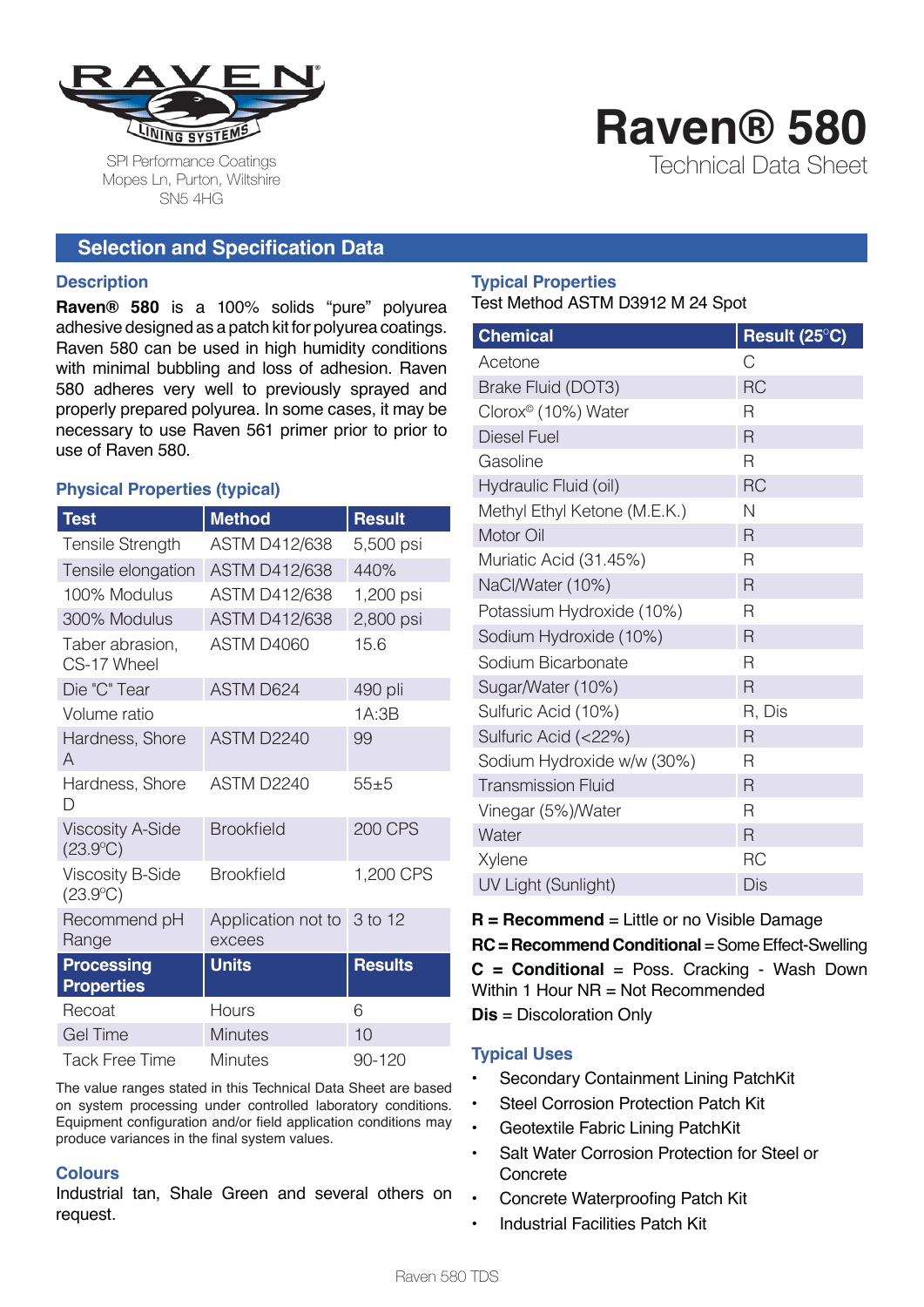

SPI Performance Coatings Mopes Ln, Purton, Wiltshire SN5 4HG

# **Selection and Specification Data**

#### **Description**

**Raven® 580** is a 100% solids "pure" polyurea adhesive designed as a patch kit for polyurea coatings. Raven 580 can be used in high humidity conditions with minimal bubbling and loss of adhesion. Raven 580 adheres very well to previously sprayed and properly prepared polyurea. In some cases, it may be necessary to use Raven 561 primer prior to prior to use of Raven 580.

# **Physical Properties (typical)**

| Test                                         | <b>Method</b>                        | <b>Result</b>  |
|----------------------------------------------|--------------------------------------|----------------|
| Tensile Strength                             | <b>ASTM D412/638</b>                 | 5,500 psi      |
| Tensile elongation                           | <b>ASTM D412/638</b>                 | 440%           |
| 100% Modulus                                 | <b>ASTM D412/638</b>                 | 1,200 psi      |
| 300% Modulus                                 | <b>ASTM D412/638</b>                 | 2,800 psi      |
| Taber abrasion,<br>CS-17 Wheel               | ASTM D4060                           | 15.6           |
| Die "C" Tear                                 | <b>ASTM D624</b>                     | 490 pli        |
| Volume ratio                                 |                                      | 1A:3B          |
| Hardness, Shore<br>A                         | ASTM D2240                           | 99             |
| Hardness, Shore<br>D                         | ASTM D2240                           | $55 + 5$       |
| <b>Viscosity A-Side</b><br>$(23.9^{\circ}C)$ | <b>Brookfield</b>                    | <b>200 CPS</b> |
| <b>Viscosity B-Side</b><br>$(23.9^{\circ}C)$ | <b>Brookfield</b>                    | 1,200 CPS      |
| Recommend pH<br>Range                        | Application not to 3 to 12<br>excees |                |
| <b>Processing</b><br><b>Properties</b>       | <b>Units</b>                         | <b>Results</b> |
| Recoat                                       | Hours                                | 6              |
| <b>Gel Time</b>                              | <b>Minutes</b>                       | 10             |
| Tack Free Time                               | <b>Minutes</b>                       | 90-120         |

The value ranges stated in this Technical Data Sheet are based on system processing under controlled laboratory conditions. Equipment configuration and/or field application conditions may produce variances in the final system values.

# **Colours**

Industrial tan, Shale Green and several others on request.

## **Typical Properties** Test Method ASTM D3912 M 24 Spot

| <b>Chemical</b>                 | Result (25°C) |
|---------------------------------|---------------|
| Acetone                         | С             |
| Brake Fluid (DOT3)              | <b>RC</b>     |
| Clorox <sup>®</sup> (10%) Water | R             |
| <b>Diesel Fuel</b>              | R             |
| Gasoline                        | R             |
| Hydraulic Fluid (oil)           | <b>RC</b>     |
| Methyl Ethyl Ketone (M.E.K.)    | Ν             |
| Motor Oil                       | R             |
| Muriatic Acid (31.45%)          | R             |
| NaCl/Water (10%)                | R             |
| Potassium Hydroxide (10%)       | R             |
| Sodium Hydroxide (10%)          | R             |
| Sodium Bicarbonate              | R             |
| Sugar/Water (10%)               | R             |
| Sulfuric Acid (10%)             | R, Dis        |
| Sulfuric Acid (<22%)            | R             |
| Sodium Hydroxide w/w (30%)      | R             |
| <b>Transmission Fluid</b>       | R             |
| Vinegar (5%)/Water              | R             |
| Water                           | R             |
| Xylene                          | <b>RC</b>     |
| UV Light (Sunlight)             | Dis           |

**Raven® 580**

Technical Data Sheet

**R = Recommend** = Little or no Visible Damage **RC = Recommend Conditional** = Some Effect-Swelling **C = Conditional** = Poss. Cracking - Wash Down Within 1 Hour NR = Not Recommended **Dis** = Discoloration Only

# **Typical Uses**

- Secondary Containment Lining PatchKit
- **Steel Corrosion Protection Patch Kit**
- Geotextile Fabric Lining PatchKit
- Salt Water Corrosion Protection for Steel or **Concrete**
- Concrete Waterproofing Patch Kit
- Industrial Facilities Patch Kit